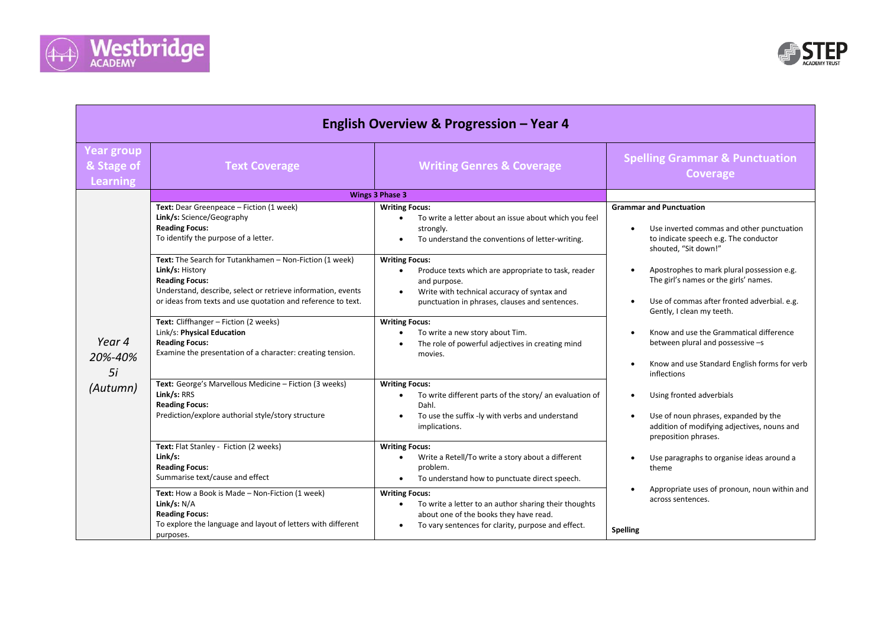



| English Overview & Progression - Year 4            |                                                                                                                                                                                                                                                                                                                                                                               |                                                                                                                                                                                                                                                                                                                                                                            |                                                                                                                                                                                                                                                                                                                                                                                                                                                                                                                                                                                                                                                                                                                                                                     |  |  |  |
|----------------------------------------------------|-------------------------------------------------------------------------------------------------------------------------------------------------------------------------------------------------------------------------------------------------------------------------------------------------------------------------------------------------------------------------------|----------------------------------------------------------------------------------------------------------------------------------------------------------------------------------------------------------------------------------------------------------------------------------------------------------------------------------------------------------------------------|---------------------------------------------------------------------------------------------------------------------------------------------------------------------------------------------------------------------------------------------------------------------------------------------------------------------------------------------------------------------------------------------------------------------------------------------------------------------------------------------------------------------------------------------------------------------------------------------------------------------------------------------------------------------------------------------------------------------------------------------------------------------|--|--|--|
| <b>Year group</b><br>& Stage of<br><b>Learning</b> | <b>Text Coverage</b>                                                                                                                                                                                                                                                                                                                                                          | <b>Writing Genres &amp; Coverage</b>                                                                                                                                                                                                                                                                                                                                       | <b>Spelling Grammar &amp; Punctuation</b><br><b>Coverage</b>                                                                                                                                                                                                                                                                                                                                                                                                                                                                                                                                                                                                                                                                                                        |  |  |  |
|                                                    | <b>Wings 3 Phase 3</b>                                                                                                                                                                                                                                                                                                                                                        |                                                                                                                                                                                                                                                                                                                                                                            |                                                                                                                                                                                                                                                                                                                                                                                                                                                                                                                                                                                                                                                                                                                                                                     |  |  |  |
| Year 4<br>20%-40%<br>5i<br>(Autumn)                | Text: Dear Greenpeace - Fiction (1 week)<br>Link/s: Science/Geography<br><b>Reading Focus:</b><br>To identify the purpose of a letter.<br>Text: The Search for Tutankhamen - Non-Fiction (1 week)<br>Link/s: History<br><b>Reading Focus:</b><br>Understand, describe, select or retrieve information, events<br>or ideas from texts and use quotation and reference to text. | <b>Writing Focus:</b><br>To write a letter about an issue about which you feel<br>$\bullet$<br>strongly.<br>To understand the conventions of letter-writing.<br>$\bullet$<br><b>Writing Focus:</b><br>Produce texts which are appropriate to task, reader<br>and purpose.<br>Write with technical accuracy of syntax and<br>punctuation in phrases, clauses and sentences. | <b>Grammar and Punctuation</b><br>Use inverted commas and other punctuation<br>$\bullet$<br>to indicate speech e.g. The conductor<br>shouted, "Sit down!"<br>Apostrophes to mark plural possession e.g.<br>The girl's names or the girls' names.<br>Use of commas after fronted adverbial. e.g.<br>Gently, I clean my teeth.<br>Know and use the Grammatical difference<br>between plural and possessive -s<br>Know and use Standard English forms for verb<br>inflections<br>Using fronted adverbials<br>Use of noun phrases, expanded by the<br>addition of modifying adjectives, nouns and<br>preposition phrases.<br>Use paragraphs to organise ideas around a<br>theme<br>Appropriate uses of pronoun, noun within and<br>across sentences.<br><b>Spelling</b> |  |  |  |
|                                                    | Text: Cliffhanger - Fiction (2 weeks)<br>Link/s: Physical Education<br><b>Reading Focus:</b><br>Examine the presentation of a character: creating tension.                                                                                                                                                                                                                    | <b>Writing Focus:</b><br>To write a new story about Tim.<br>The role of powerful adjectives in creating mind<br>movies.                                                                                                                                                                                                                                                    |                                                                                                                                                                                                                                                                                                                                                                                                                                                                                                                                                                                                                                                                                                                                                                     |  |  |  |
|                                                    | Text: George's Marvellous Medicine - Fiction (3 weeks)<br>Link/s: RRS<br><b>Reading Focus:</b><br>Prediction/explore authorial style/story structure                                                                                                                                                                                                                          | <b>Writing Focus:</b><br>To write different parts of the story/ an evaluation of<br>$\bullet$<br>Dahl.<br>To use the suffix -ly with verbs and understand<br>implications.                                                                                                                                                                                                 |                                                                                                                                                                                                                                                                                                                                                                                                                                                                                                                                                                                                                                                                                                                                                                     |  |  |  |
|                                                    | Text: Flat Stanley - Fiction (2 weeks)<br>Link/s:<br><b>Reading Focus:</b><br>Summarise text/cause and effect<br>Text: How a Book is Made - Non-Fiction (1 week)                                                                                                                                                                                                              | <b>Writing Focus:</b><br>Write a Retell/To write a story about a different<br>problem.<br>To understand how to punctuate direct speech.<br><b>Writing Focus:</b>                                                                                                                                                                                                           |                                                                                                                                                                                                                                                                                                                                                                                                                                                                                                                                                                                                                                                                                                                                                                     |  |  |  |
|                                                    | Link/s: $N/A$<br><b>Reading Focus:</b><br>To explore the language and layout of letters with different<br>purposes.                                                                                                                                                                                                                                                           | To write a letter to an author sharing their thoughts<br>$\bullet$<br>about one of the books they have read.<br>To vary sentences for clarity, purpose and effect.                                                                                                                                                                                                         |                                                                                                                                                                                                                                                                                                                                                                                                                                                                                                                                                                                                                                                                                                                                                                     |  |  |  |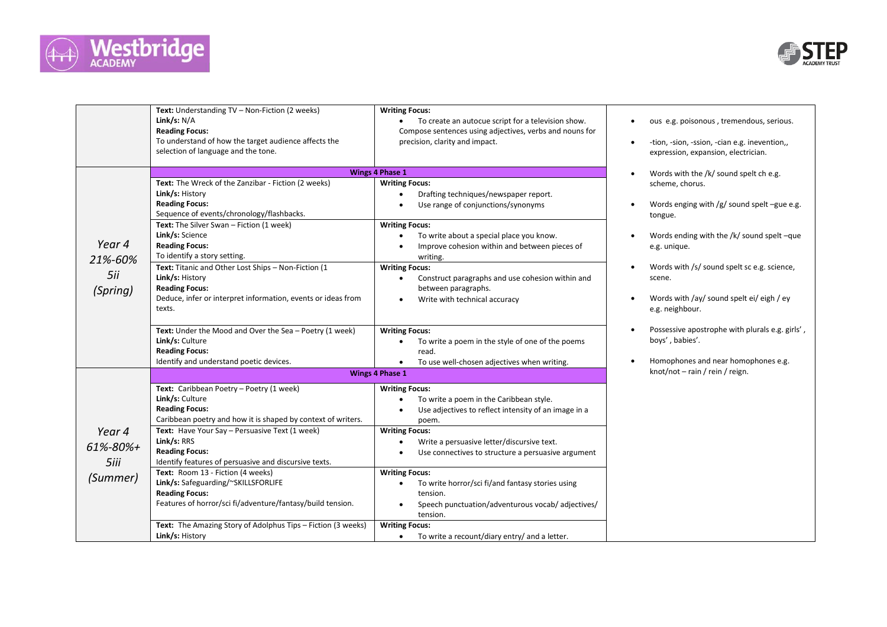



|                                        | Text: Understanding TV - Non-Fiction (2 weeks)<br>Link/s: $N/A$<br><b>Reading Focus:</b><br>To understand of how the target audience affects the<br>selection of language and the tone.                                                                                                                                                                                                                                                                                                                      | <b>Writing Focus:</b><br>To create an autocue script for a television show.<br>Compose sentences using adjectives, verbs and nouns for<br>precision, clarity and impact.                                                                                                                                                                                                                                          | ous e.g. poisonous, tremendous, serious.<br>$\bullet$<br>-tion, -sion, -ssion, -cian e.g. inevention,,<br>$\bullet$<br>expression, expansion, electrician.                                                                                                                                                |  |
|----------------------------------------|--------------------------------------------------------------------------------------------------------------------------------------------------------------------------------------------------------------------------------------------------------------------------------------------------------------------------------------------------------------------------------------------------------------------------------------------------------------------------------------------------------------|-------------------------------------------------------------------------------------------------------------------------------------------------------------------------------------------------------------------------------------------------------------------------------------------------------------------------------------------------------------------------------------------------------------------|-----------------------------------------------------------------------------------------------------------------------------------------------------------------------------------------------------------------------------------------------------------------------------------------------------------|--|
|                                        | <b>Wings 4 Phase 1</b>                                                                                                                                                                                                                                                                                                                                                                                                                                                                                       |                                                                                                                                                                                                                                                                                                                                                                                                                   | Words with the /k/ sound spelt ch e.g.<br>$\bullet$                                                                                                                                                                                                                                                       |  |
| Year 4<br>21%-60%<br>5ii<br>(Spring)   | Text: The Wreck of the Zanzibar - Fiction (2 weeks)<br>Link/s: History<br><b>Reading Focus:</b><br>Sequence of events/chronology/flashbacks.<br>Text: The Silver Swan - Fiction (1 week)<br>Link/s: Science<br><b>Reading Focus:</b><br>To identify a story setting.<br>Text: Titanic and Other Lost Ships - Non-Fiction (1<br>Link/s: History<br><b>Reading Focus:</b><br>Deduce, infer or interpret information, events or ideas from<br>texts.<br>Text: Under the Mood and Over the Sea - Poetry (1 week) | <b>Writing Focus:</b><br>Drafting techniques/newspaper report.<br>Use range of conjunctions/synonyms<br><b>Writing Focus:</b><br>To write about a special place you know.<br>Improve cohesion within and between pieces of<br>writing.<br><b>Writing Focus:</b><br>Construct paragraphs and use cohesion within and<br>$\bullet$<br>between paragraphs.<br>Write with technical accuracy<br><b>Writing Focus:</b> | scheme, chorus.<br>Words enging with $/g/$ sound spelt -gue e.g.<br>$\bullet$<br>tongue.<br>Words ending with the /k/ sound spelt -que<br>e.g. unique.<br>Words with /s/ sound spelt sc e.g. science,<br>$\bullet$<br>scene.<br>Words with /ay/ sound spelt ei/ eigh / ey<br>$\bullet$<br>e.g. neighbour. |  |
|                                        | Link/s: Culture<br><b>Reading Focus:</b><br>Identify and understand poetic devices.                                                                                                                                                                                                                                                                                                                                                                                                                          | To write a poem in the style of one of the poems<br>read.<br>To use well-chosen adjectives when writing.<br>٠                                                                                                                                                                                                                                                                                                     | Possessive apostrophe with plurals e.g. girls',<br>$\bullet$<br>boys', babies'.<br>Homophones and near homophones e.g.<br>$\bullet$                                                                                                                                                                       |  |
|                                        | <b>Wings 4 Phase 1</b>                                                                                                                                                                                                                                                                                                                                                                                                                                                                                       |                                                                                                                                                                                                                                                                                                                                                                                                                   | knot/not - rain / rein / reign.                                                                                                                                                                                                                                                                           |  |
| Year 4<br>61%-80%+<br>5iii<br>(Summer) | Text: Caribbean Poetry - Poetry (1 week)<br>Link/s: Culture<br><b>Reading Focus:</b><br>Caribbean poetry and how it is shaped by context of writers.<br>Text: Have Your Say - Persuasive Text (1 week)<br>Link/s: RRS<br><b>Reading Focus:</b><br>Identify features of persuasive and discursive texts.<br>Text: Room 13 - Fiction (4 weeks)<br>Link/s: Safeguarding/~SKILLSFORLIFE<br><b>Reading Focus:</b>                                                                                                 | <b>Writing Focus:</b><br>To write a poem in the Caribbean style.<br>Use adjectives to reflect intensity of an image in a<br>poem.<br><b>Writing Focus:</b><br>Write a persuasive letter/discursive text.<br>$\bullet$<br>Use connectives to structure a persuasive argument<br><b>Writing Focus:</b><br>To write horror/sci fi/and fantasy stories using<br>$\bullet$<br>tension.                                 |                                                                                                                                                                                                                                                                                                           |  |
|                                        | Features of horror/sci fi/adventure/fantasy/build tension.                                                                                                                                                                                                                                                                                                                                                                                                                                                   | Speech punctuation/adventurous vocab/ adjectives/<br>tension.                                                                                                                                                                                                                                                                                                                                                     |                                                                                                                                                                                                                                                                                                           |  |
|                                        | Text: The Amazing Story of Adolphus Tips - Fiction (3 weeks)<br>Link/s: History                                                                                                                                                                                                                                                                                                                                                                                                                              | <b>Writing Focus:</b><br>To write a recount/diary entry/ and a letter.<br>$\bullet$                                                                                                                                                                                                                                                                                                                               |                                                                                                                                                                                                                                                                                                           |  |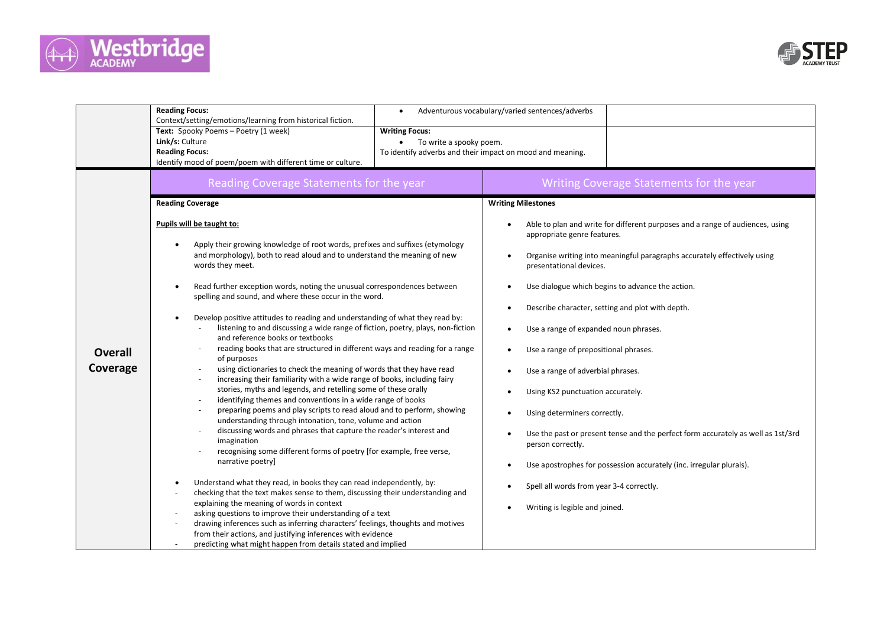



|                            | <b>Reading Focus:</b><br>$\bullet$<br>Context/setting/emotions/learning from historical fiction.                                                                                                                                                                                                                                                                                                                                                                                                                                                                                                                                                                                                                                                                                                                                                                                             | Adventurous vocabulary/varied sentences/adverbs                                                                                                                                                                                                                                                                                                       |  |
|----------------------------|----------------------------------------------------------------------------------------------------------------------------------------------------------------------------------------------------------------------------------------------------------------------------------------------------------------------------------------------------------------------------------------------------------------------------------------------------------------------------------------------------------------------------------------------------------------------------------------------------------------------------------------------------------------------------------------------------------------------------------------------------------------------------------------------------------------------------------------------------------------------------------------------|-------------------------------------------------------------------------------------------------------------------------------------------------------------------------------------------------------------------------------------------------------------------------------------------------------------------------------------------------------|--|
|                            | Text: Spooky Poems - Poetry (1 week)<br><b>Writing Focus:</b><br>Link/s: Culture<br>To write a spooky poem.<br><b>Reading Focus:</b><br>To identify adverbs and their impact on mood and meaning.<br>Identify mood of poem/poem with different time or culture.                                                                                                                                                                                                                                                                                                                                                                                                                                                                                                                                                                                                                              |                                                                                                                                                                                                                                                                                                                                                       |  |
|                            | Reading Coverage Statements for the year                                                                                                                                                                                                                                                                                                                                                                                                                                                                                                                                                                                                                                                                                                                                                                                                                                                     | Writing Coverage Statements for the year                                                                                                                                                                                                                                                                                                              |  |
|                            | <b>Reading Coverage</b>                                                                                                                                                                                                                                                                                                                                                                                                                                                                                                                                                                                                                                                                                                                                                                                                                                                                      | <b>Writing Milestones</b>                                                                                                                                                                                                                                                                                                                             |  |
| <b>Overall</b><br>Coverage | Pupils will be taught to:<br>Apply their growing knowledge of root words, prefixes and suffixes (etymology<br>and morphology), both to read aloud and to understand the meaning of new<br>words they meet.                                                                                                                                                                                                                                                                                                                                                                                                                                                                                                                                                                                                                                                                                   | Able to plan and write for different purposes and a range of audiences, using<br>appropriate genre features.<br>Organise writing into meaningful paragraphs accurately effectively using<br>$\bullet$<br>presentational devices.                                                                                                                      |  |
|                            | Read further exception words, noting the unusual correspondences between<br>spelling and sound, and where these occur in the word.                                                                                                                                                                                                                                                                                                                                                                                                                                                                                                                                                                                                                                                                                                                                                           | Use dialogue which begins to advance the action.                                                                                                                                                                                                                                                                                                      |  |
|                            | Develop positive attitudes to reading and understanding of what they read by:<br>listening to and discussing a wide range of fiction, poetry, plays, non-fiction<br>and reference books or textbooks<br>reading books that are structured in different ways and reading for a range<br>of purposes<br>using dictionaries to check the meaning of words that they have read<br>increasing their familiarity with a wide range of books, including fairy<br>stories, myths and legends, and retelling some of these orally<br>identifying themes and conventions in a wide range of books<br>preparing poems and play scripts to read aloud and to perform, showing<br>understanding through intonation, tone, volume and action<br>discussing words and phrases that capture the reader's interest and<br>imagination<br>recognising some different forms of poetry [for example, free verse, | Describe character, setting and plot with depth.<br>Use a range of expanded noun phrases.<br>Use a range of prepositional phrases.<br>Use a range of adverbial phrases.<br>Using KS2 punctuation accurately.<br>Using determiners correctly.<br>Use the past or present tense and the perfect form accurately as well as 1st/3rd<br>person correctly. |  |
|                            | narrative poetry]<br>Understand what they read, in books they can read independently, by:<br>checking that the text makes sense to them, discussing their understanding and<br>explaining the meaning of words in context<br>asking questions to improve their understanding of a text<br>drawing inferences such as inferring characters' feelings, thoughts and motives<br>from their actions, and justifying inferences with evidence<br>predicting what might happen from details stated and implied                                                                                                                                                                                                                                                                                                                                                                                     | Use apostrophes for possession accurately (inc. irregular plurals).<br>Spell all words from year 3-4 correctly.<br>Writing is legible and joined.                                                                                                                                                                                                     |  |